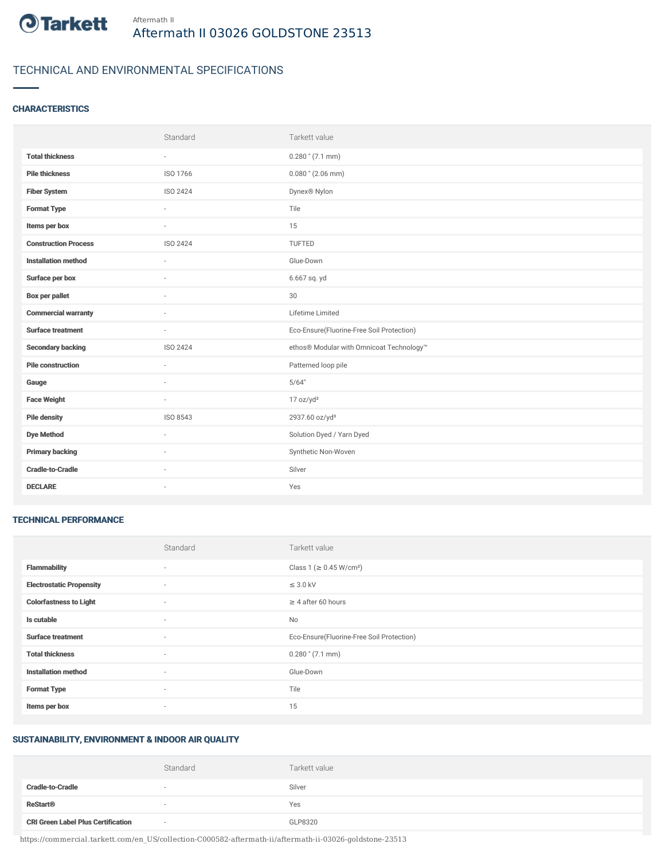

## TECHNICAL AND ENVIRONMENTAL SPECIFICATIONS

#### **CHARACTERISTICS**

|                             | Standard                 | Tarkett value                             |
|-----------------------------|--------------------------|-------------------------------------------|
| <b>Total thickness</b>      | $\sim$                   | $0.280$ " (7.1 mm)                        |
| <b>Pile thickness</b>       | ISO 1766                 | $0.080$ " (2.06 mm)                       |
| <b>Fiber System</b>         | ISO 2424                 | Dynex <sup>®</sup> Nylon                  |
| <b>Format Type</b>          | $\overline{\phantom{a}}$ | Tile                                      |
| Items per box               | $\sim$                   | 15                                        |
| <b>Construction Process</b> | ISO 2424                 | <b>TUFTED</b>                             |
| <b>Installation method</b>  | $\sim$                   | Glue-Down                                 |
| Surface per box             | $\sim$                   | 6.667 sq. yd                              |
| <b>Box per pallet</b>       | $\sim$                   | 30                                        |
| <b>Commercial warranty</b>  |                          | Lifetime Limited                          |
| <b>Surface treatment</b>    | $\overline{\phantom{a}}$ | Eco-Ensure(Fluorine-Free Soil Protection) |
| <b>Secondary backing</b>    | ISO 2424                 | ethos® Modular with Omnicoat Technology™  |
| <b>Pile construction</b>    | $\sim$                   | Patterned loop pile                       |
| Gauge                       |                          | 5/64"                                     |
| <b>Face Weight</b>          | $\overline{\phantom{a}}$ | 17 oz/yd <sup>2</sup>                     |
| <b>Pile density</b>         | ISO 8543                 | 2937.60 oz/yd <sup>3</sup>                |
| <b>Dye Method</b>           | $\overline{\phantom{a}}$ | Solution Dyed / Yarn Dyed                 |
| <b>Primary backing</b>      |                          | Synthetic Non-Woven                       |
| <b>Cradle-to-Cradle</b>     | $\sim$                   | Silver                                    |
| <b>DECLARE</b>              | $\sim$                   | Yes                                       |

#### TECHNICAL PERFORMANCE

|                                 | Standard                 | Tarkett value                             |
|---------------------------------|--------------------------|-------------------------------------------|
| <b>Flammability</b>             | $\sim$                   | Class 1 ( $\geq$ 0.45 W/cm <sup>2</sup> ) |
| <b>Electrostatic Propensity</b> | $\sim$                   | $\leq$ 3.0 kV                             |
| <b>Colorfastness to Light</b>   | $\sim$                   | $\geq$ 4 after 60 hours                   |
| Is cutable                      | $\sim$                   | No                                        |
| <b>Surface treatment</b>        | $\sim$                   | Eco-Ensure(Fluorine-Free Soil Protection) |
| <b>Total thickness</b>          | $\sim$                   | $0.280$ " (7.1 mm)                        |
| <b>Installation method</b>      | $\overline{\phantom{a}}$ | Glue-Down                                 |
| <b>Format Type</b>              | $\sim$                   | Tile                                      |
| Items per box                   | $\sim$                   | 15                                        |

# SUSTAINABILITY, ENVIRONMENT & INDOOR AIR QUALITY

|                                           | Standard | Tarkett value |
|-------------------------------------------|----------|---------------|
| <b>Cradle-to-Cradle</b>                   |          | Silver        |
| <b>ReStart<sup>®</sup></b>                |          | Yes           |
| <b>CRI Green Label Plus Certification</b> | $\sim$   | GLP8320       |

https://commercial.tarkett.com/en\_US/collection-C000582-aftermath-ii/aftermath-ii-03026-goldstone-23513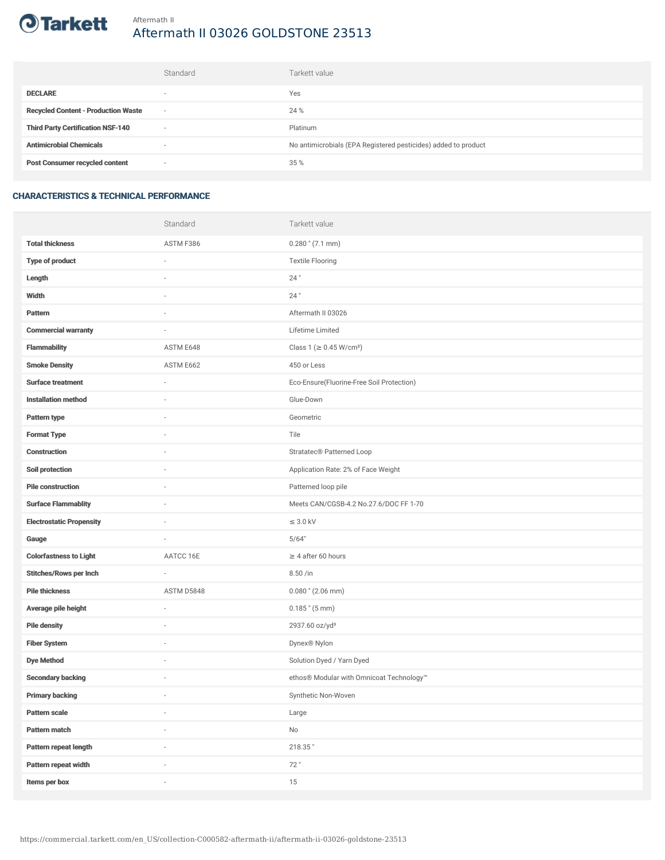

# Aftermath II 03026 GOLDSTONE 23513

|                                            | Standard                 | Tarkett value                                                  |
|--------------------------------------------|--------------------------|----------------------------------------------------------------|
| <b>DECLARE</b>                             | $\overline{\phantom{a}}$ | Yes                                                            |
| <b>Recycled Content - Production Waste</b> | $\sim$                   | 24 %                                                           |
| <b>Third Party Certification NSF-140</b>   | $\sim$                   | Platinum                                                       |
| <b>Antimicrobial Chemicals</b>             | ۰                        | No antimicrobials (EPA Registered pesticides) added to product |
| <b>Post Consumer recycled content</b>      | $\sim$                   | 35 %                                                           |

### CHARACTERISTICS & TECHNICAL PERFORMANCE

|                                 | Standard                 | Tarkett value                             |
|---------------------------------|--------------------------|-------------------------------------------|
| <b>Total thickness</b>          | ASTM F386                | $0.280$ " (7.1 mm)                        |
| <b>Type of product</b>          | ä,                       | <b>Textile Flooring</b>                   |
| Length                          |                          | 24"                                       |
| Width                           | $\sim$                   | $24$ "                                    |
| Pattern                         |                          | Aftermath II 03026                        |
| <b>Commercial warranty</b>      |                          | Lifetime Limited                          |
| <b>Flammability</b>             | ASTM E648                | Class 1 (≥ 0.45 W/cm <sup>2</sup> )       |
| <b>Smoke Density</b>            | ASTM E662                | 450 or Less                               |
| <b>Surface treatment</b>        | $\sim$                   | Eco-Ensure(Fluorine-Free Soil Protection) |
| <b>Installation method</b>      | $\sim$                   | Glue-Down                                 |
| Pattern type                    |                          | Geometric                                 |
| <b>Format Type</b>              |                          | Tile                                      |
| <b>Construction</b>             | $\sim$                   | Stratatec <sup>®</sup> Patterned Loop     |
| Soil protection                 |                          | Application Rate: 2% of Face Weight       |
| <b>Pile construction</b>        |                          | Patterned loop pile                       |
| <b>Surface Flammablity</b>      | ×,                       | Meets CAN/CGSB-4.2 No.27.6/DOC FF 1-70    |
| <b>Electrostatic Propensity</b> |                          | $\leq$ 3.0 kV                             |
| Gauge                           | ×,                       | 5/64"                                     |
| <b>Colorfastness to Light</b>   | AATCC 16E                | $\geq 4$ after 60 hours                   |
| <b>Stitches/Rows per Inch</b>   | ä,                       | 8.50 /in                                  |
| <b>Pile thickness</b>           | ASTM D5848               | $0.080$ " (2.06 mm)                       |
| Average pile height             | ×,                       | $0.185$ " $(5 \text{ mm})$                |
| <b>Pile density</b>             |                          | 2937.60 oz/yd <sup>3</sup>                |
| <b>Fiber System</b>             |                          | Dynex® Nylon                              |
| <b>Dye Method</b>               | ×,                       | Solution Dyed / Yarn Dyed                 |
| <b>Secondary backing</b>        |                          | ethos® Modular with Omnicoat Technology™  |
| <b>Primary backing</b>          | $\overline{\phantom{a}}$ | Synthetic Non-Woven                       |
| Pattern scale                   | $\overline{\phantom{a}}$ | Large                                     |
| Pattern match                   | i.                       | $\mathsf{No}$                             |
| Pattern repeat length           |                          | 218.35"                                   |
| Pattern repeat width            | i.                       | 72"                                       |
| Items per box                   | i.                       | 15                                        |